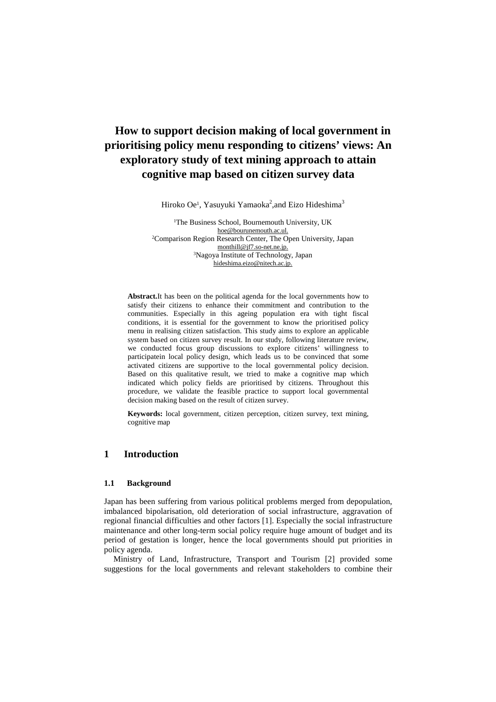# **How to support decision making of local government in prioritising policy menu responding to citizens' views: An exploratory study of text mining approach to attain cognitive map based on citizen survey data**

Hiroko Oe<sup>1</sup>, Yasuyuki Yamaoka<sup>2</sup>,and Eizo Hideshima<sup>3</sup>

<sup>1</sup>The Business School, Bournemouth University, UK hoe@bourunemouth.ac.ul. <sup>2</sup>Comparison Region Research Center, The Open University, Japan monthill@jf7.so-net.ne.jp. <sup>3</sup>Nagoya Institute of Technology, Japan hideshima.eizo@nitech.ac.jp.

**Abstract.**It has been on the political agenda for the local governments how to satisfy their citizens to enhance their commitment and contribution to the communities. Especially in this ageing population era with tight fiscal conditions, it is essential for the government to know the prioritised policy menu in realising citizen satisfaction. This study aims to explore an applicable system based on citizen survey result. In our study, following literature review, we conducted focus group discussions to explore citizens' willingness to participatein local policy design, which leads us to be convinced that some activated citizens are supportive to the local governmental policy decision. Based on this qualitative result, we tried to make a cognitive map which indicated which policy fields are prioritised by citizens. Throughout this procedure, we validate the feasible practice to support local governmental decision making based on the result of citizen survey.

**Keywords:** local government, citizen perception, citizen survey, text mining, cognitive map

# **1 Introduction**

# **1.1 Background**

Japan has been suffering from various political problems merged from depopulation, imbalanced bipolarisation, old deterioration of social infrastructure, aggravation of regional financial difficulties and other factors [1]. Especially the social infrastructure maintenance and other long-term social policy require huge amount of budget and its period of gestation is longer, hence the local governments should put priorities in policy agenda.

Ministry of Land, Infrastructure, Transport and Tourism [2] provided some suggestions for the local governments and relevant stakeholders to combine their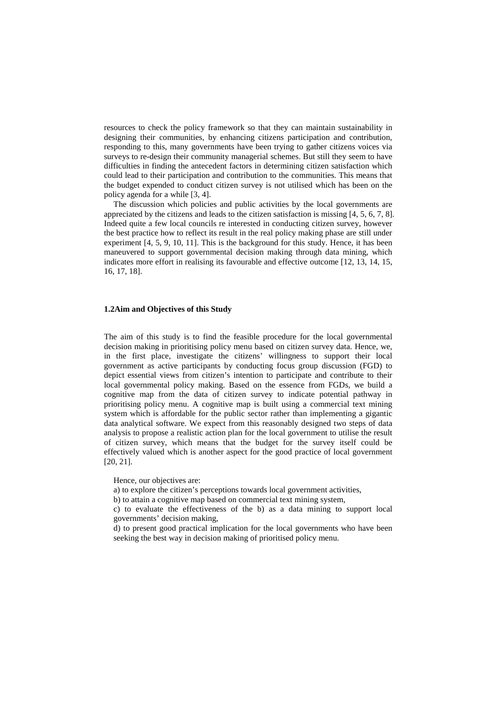resources to check the policy framework so that they can maintain sustainability in designing their communities, by enhancing citizens participation and contribution, responding to this, many governments have been trying to gather citizens voices via surveys to re-design their community managerial schemes. But still they seem to have difficulties in finding the antecedent factors in determining citizen satisfaction which could lead to their participation and contribution to the communities. This means that the budget expended to conduct citizen survey is not utilised which has been on the policy agenda for a while [3, 4].

The discussion which policies and public activities by the local governments are appreciated by the citizens and leads to the citizen satisfaction is missing [4, 5, 6, 7, 8]. Indeed quite a few local councils re interested in conducting citizen survey, however the best practice how to reflect its result in the real policy making phase are still under experiment [4, 5, 9, 10, 11]. This is the background for this study. Hence, it has been maneuvered to support governmental decision making through data mining, which indicates more effort in realising its favourable and effective outcome [12, 13, 14, 15, 16, 17, 18].

# **1.2Aim and Objectives of this Study**

The aim of this study is to find the feasible procedure for the local governmental decision making in prioritising policy menu based on citizen survey data. Hence, we, in the first place, investigate the citizens' willingness to support their local government as active participants by conducting focus group discussion (FGD) to depict essential views from citizen's intention to participate and contribute to their local governmental policy making. Based on the essence from FGDs, we build a cognitive map from the data of citizen survey to indicate potential pathway in prioritising policy menu. A cognitive map is built using a commercial text mining system which is affordable for the public sector rather than implementing a gigantic data analytical software. We expect from this reasonably designed two steps of data analysis to propose a realistic action plan for the local government to utilise the result of citizen survey, which means that the budget for the survey itself could be effectively valued which is another aspect for the good practice of local government [20, 21].

Hence, our objectives are:

a) to explore the citizen's perceptions towards local government activities,

b) to attain a cognitive map based on commercial text mining system,

c) to evaluate the effectiveness of the b) as a data mining to support local governments' decision making,

d) to present good practical implication for the local governments who have been seeking the best way in decision making of prioritised policy menu.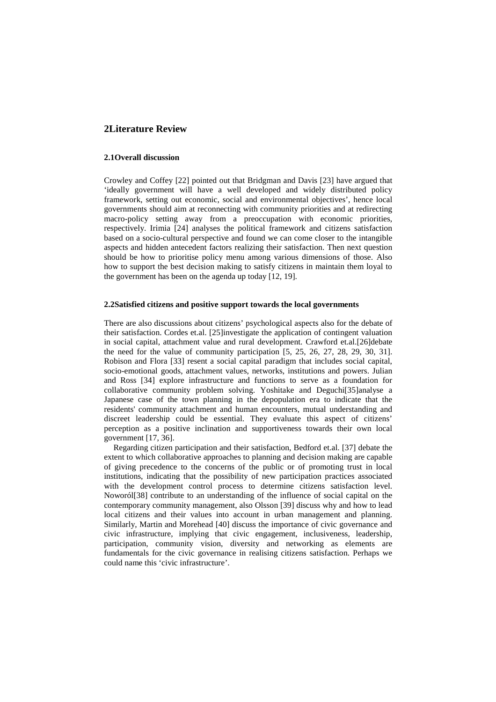# **2Literature Review**

#### **2.1Overall discussion**

Crowley and Coffey [22] pointed out that Bridgman and Davis [23] have argued that 'ideally government will have a well developed and widely distributed policy framework, setting out economic, social and environmental objectives', hence local governments should aim at reconnecting with community priorities and at redirecting macro-policy setting away from a preoccupation with economic priorities, respectively. Irimia [24] analyses the political framework and citizens satisfaction based on a socio-cultural perspective and found we can come closer to the intangible aspects and hidden antecedent factors realizing their satisfaction. Then next question should be how to prioritise policy menu among various dimensions of those. Also how to support the best decision making to satisfy citizens in maintain them loyal to the government has been on the agenda up today [12, 19].

#### **2.2Satisfied citizens and positive support towards the local governments**

There are also discussions about citizens' psychological aspects also for the debate of their satisfaction. Cordes et.al. [25]investigate the application of contingent valuation in social capital, attachment value and rural development. Crawford et.al.[26]debate the need for the value of community participation [5, 25, 26, 27, 28, 29, 30, 31]. Robison and Flora [33] resent a social capital paradigm that includes social capital, socio-emotional goods, attachment values, networks, institutions and powers. Julian and Ross [34] explore infrastructure and functions to serve as a foundation for collaborative community problem solving. Yoshitake and Deguchi[35]analyse a Japanese case of the town planning in the depopulation era to indicate that the residents' community attachment and human encounters, mutual understanding and discreet leadership could be essential. They evaluate this aspect of citizens' perception as a positive inclination and supportiveness towards their own local government [17, 36].

Regarding citizen participation and their satisfaction, Bedford et.al. [37] debate the extent to which collaborative approaches to planning and decision making are capable of giving precedence to the concerns of the public or of promoting trust in local institutions, indicating that the possibility of new participation practices associated with the development control process to determine citizens satisfaction level. Noworól[38] contribute to an understanding of the influence of social capital on the contemporary community management, also Olsson [39] discuss why and how to lead local citizens and their values into account in urban management and planning. Similarly, Martin and Morehead [40] discuss the importance of civic governance and civic infrastructure, implying that civic engagement, inclusiveness, leadership, participation, community vision, diversity and networking as elements are fundamentals for the civic governance in realising citizens satisfaction. Perhaps we could name this 'civic infrastructure'.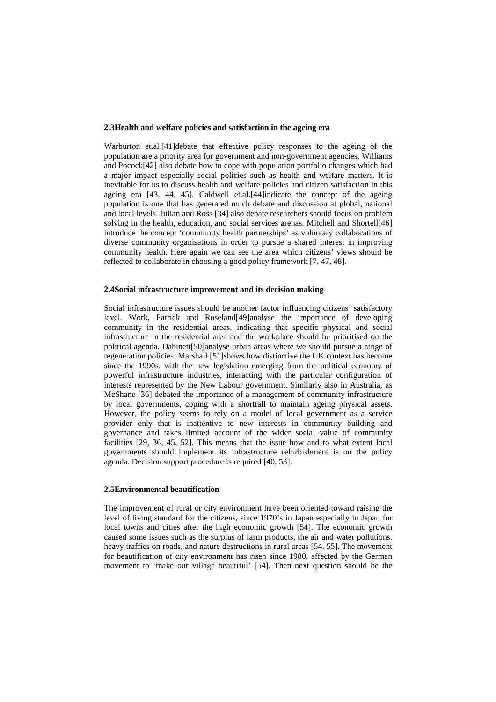#### **2.3Health and welfare policies and satisfaction in the ageing era**

Warburton et.al.[41]debate that effective policy responses to the ageing of the population are a priority area for government and non-government agencies, Williams and Pocock[42] also debate how to cope with population portfolio changes which had a major impact especially social policies such as health and welfare matters. It is inevitable for us to discuss health and welfare policies and citizen satisfaction in this ageing era [43, 44, 45]. Caldwell et.al.[44]indicate the concept of the ageing population is one that has generated much debate and discussion at global, national and local levels. Julian and Ross [34] also debate researchers should focus on problem solving in the health, education, and social services arenas. Mitchell and Shortell[46] introduce the concept 'community health partnerships' as voluntary collaborations of diverse community organisations in order to pursue a shared interest in improving community health. Here again we can see the area which citizens' views should be reflected to collaborate in choosing a good policy framework [7, 47, 48].

#### **2.4Social infrastructure improvement and its decision making**

Social infrastructure issues should be another factor influencing citizens' satisfactory level. Work, Patrick and Roseland[49]analyse the importance of developing community in the residential areas, indicating that specific physical and social infrastructure in the residential area and the workplace should be prioritised on the political agenda. Dabinett[50]analyse urban areas where we should pursue a range of regeneration policies. Marshall [51]shows how distinctive the UK context has become since the 1990s, with the new legislation emerging from the political economy of powerful infrastructure industries, interacting with the particular configuration of interests represented by the New Labour government. Similarly also in Australia, as McShane [36] debated the importance of a management of community infrastructure by local governments, coping with a shortfall to maintain ageing physical assets. However, the policy seems to rely on a model of local government as a service provider only that is inattentive to new interests in community building and governance and takes limited account of the wider social value of community facilities [29, 36, 45, 52]. This means that the issue how and to what extent local governments should implement its infrastructure refurbishment is on the policy agenda. Decision support procedure is required [40, 53].

# **2.5Environmental beautification**

The improvement of rural or city environment have been oriented toward raising the level of living standard for the citizens, since 1970's in Japan especially in Japan for local towns and cities after the high economic growth [54]. The economic growth caused some issues such as the surplus of farm products, the air and water pollutions, heavy traffics on roads, and nature destructions in rural areas [54, 55]. The movement for beautification of city environment has risen since 1980, affected by the German movement to 'make our village beautiful' [54]. Then next question should be the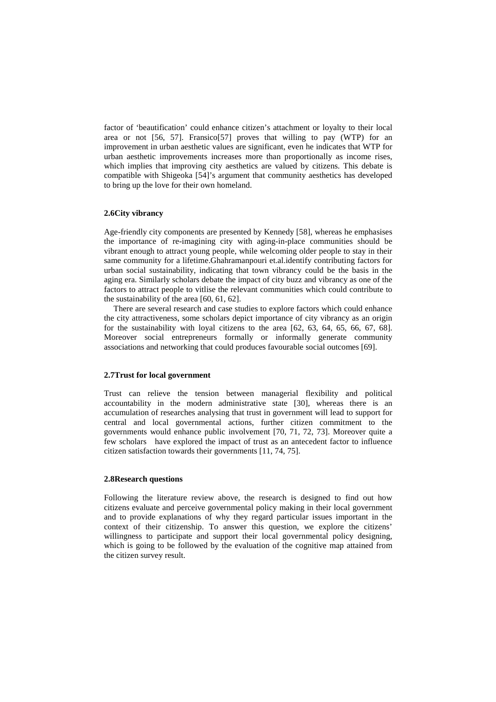factor of 'beautification' could enhance citizen's attachment or loyalty to their local area or not  $[56, 57]$ . Fransico $[57]$  proves that willing to pay (WTP) for an improvement in urban aesthetic values are significant, even he indicates that WTP for urban aesthetic improvements increases more than proportionally as income rises, which implies that improving city aesthetics are valued by citizens. This debate is compatible with Shigeoka [54]'s argument that community aesthetics has developed to bring up the love for their own homeland.

# **2.6City vibrancy**

Age-friendly city components are presented by Kennedy [58], whereas he emphasises the importance of re-imagining city with aging-in-place communities should be vibrant enough to attract young people, while welcoming older people to stay in their same community for a lifetime.Ghahramanpouri et.al.identify contributing factors for urban social sustainability, indicating that town vibrancy could be the basis in the aging era. Similarly scholars debate the impact of city buzz and vibrancy as one of the factors to attract people to vitlise the relevant communities which could contribute to the sustainability of the area [60, 61, 62].

There are several research and case studies to explore factors which could enhance the city attractiveness, some scholars depict importance of city vibrancy as an origin for the sustainability with loyal citizens to the area [62, 63, 64, 65, 66, 67, 68]. Moreover social entrepreneurs formally or informally generate community associations and networking that could produces favourable social outcomes [69].

## **2.7Trust for local government**

Trust can relieve the tension between managerial flexibility and political accountability in the modern administrative state [30], whereas there is an accumulation of researches analysing that trust in government will lead to support for central and local governmental actions, further citizen commitment to the governments would enhance public involvement [70, 71, 72, 73]. Moreover quite a few scholars have explored the impact of trust as an antecedent factor to influence citizen satisfaction towards their governments [11, 74, 75].

### **2.8Research questions**

Following the literature review above, the research is designed to find out how citizens evaluate and perceive governmental policy making in their local government and to provide explanations of why they regard particular issues important in the context of their citizenship. To answer this question, we explore the citizens' willingness to participate and support their local governmental policy designing, which is going to be followed by the evaluation of the cognitive map attained from the citizen survey result.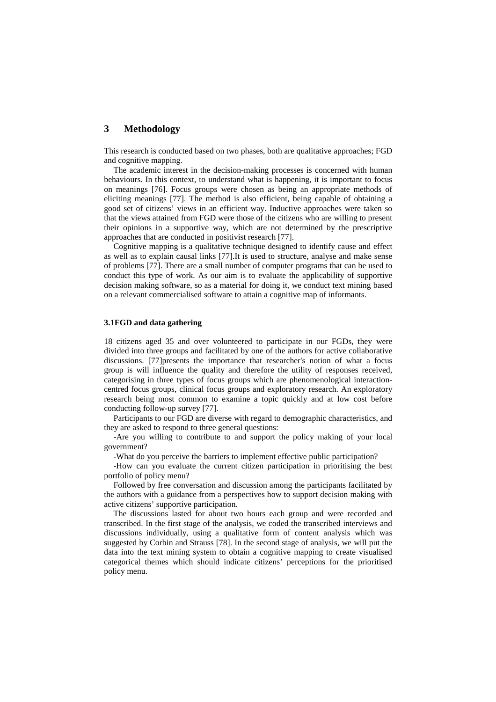# **3 Methodology**

This research is conducted based on two phases, both are qualitative approaches; FGD and cognitive mapping.

The academic interest in the decision-making processes is concerned with human behaviours. In this context, to understand what is happening, it is important to focus on meanings [76]. Focus groups were chosen as being an appropriate methods of eliciting meanings [77]. The method is also efficient, being capable of obtaining a good set of citizens' views in an efficient way. Inductive approaches were taken so that the views attained from FGD were those of the citizens who are willing to present their opinions in a supportive way, which are not determined by the prescriptive approaches that are conducted in positivist research [77].

Cognitive mapping is a qualitative technique designed to identify cause and effect as well as to explain causal links [77].It is used to structure, analyse and make sense of problems [77]. There are a small number of computer programs that can be used to conduct this type of work. As our aim is to evaluate the applicability of supportive decision making software, so as a material for doing it, we conduct text mining based on a relevant commercialised software to attain a cognitive map of informants.

# **3.1FGD and data gathering**

18 citizens aged 35 and over volunteered to participate in our FGDs, they were divided into three groups and facilitated by one of the authors for active collaborative discussions. [77]presents the importance that researcher's notion of what a focus group is will influence the quality and therefore the utility of responses received, categorising in three types of focus groups which are phenomenological interactioncentred focus groups, clinical focus groups and exploratory research. An exploratory research being most common to examine a topic quickly and at low cost before conducting follow-up survey [77].

Participants to our FGD are diverse with regard to demographic characteristics, and they are asked to respond to three general questions:

-Are you willing to contribute to and support the policy making of your local government?

-What do you perceive the barriers to implement effective public participation?

-How can you evaluate the current citizen participation in prioritising the best portfolio of policy menu?

Followed by free conversation and discussion among the participants facilitated by the authors with a guidance from a perspectives how to support decision making with active citizens' supportive participation.

The discussions lasted for about two hours each group and were recorded and transcribed. In the first stage of the analysis, we coded the transcribed interviews and discussions individually, using a qualitative form of content analysis which was suggested by Corbin and Strauss [78]. In the second stage of analysis, we will put the data into the text mining system to obtain a cognitive mapping to create visualised categorical themes which should indicate citizens' perceptions for the prioritised policy menu.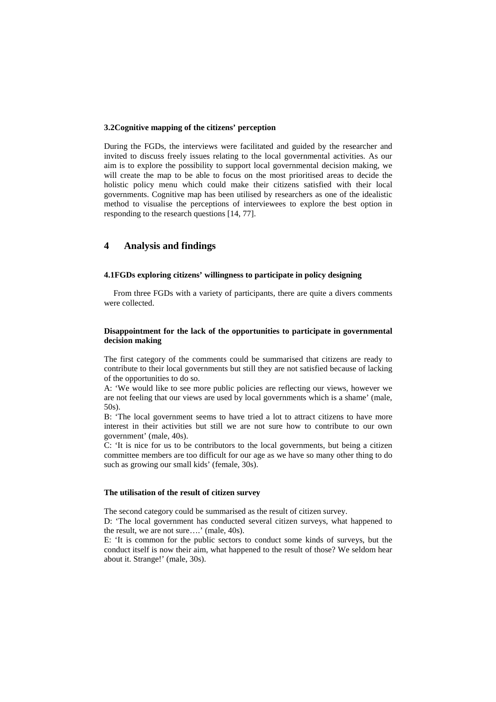### **3.2Cognitive mapping of the citizens' perception**

During the FGDs, the interviews were facilitated and guided by the researcher and invited to discuss freely issues relating to the local governmental activities. As our aim is to explore the possibility to support local governmental decision making, we will create the map to be able to focus on the most prioritised areas to decide the holistic policy menu which could make their citizens satisfied with their local governments. Cognitive map has been utilised by researchers as one of the idealistic method to visualise the perceptions of interviewees to explore the best option in responding to the research questions [14, 77].

# **4 Analysis and findings**

## **4.1FGDs exploring citizens' willingness to participate in policy designing**

From three FGDs with a variety of participants, there are quite a divers comments were collected.

## **Disappointment for the lack of the opportunities to participate in governmental decision making**

The first category of the comments could be summarised that citizens are ready to contribute to their local governments but still they are not satisfied because of lacking of the opportunities to do so.

A: 'We would like to see more public policies are reflecting our views, however we are not feeling that our views are used by local governments which is a shame' (male, 50s).

B: 'The local government seems to have tried a lot to attract citizens to have more interest in their activities but still we are not sure how to contribute to our own government' (male, 40s).

C: 'It is nice for us to be contributors to the local governments, but being a citizen committee members are too difficult for our age as we have so many other thing to do such as growing our small kids' (female, 30s).

#### **The utilisation of the result of citizen survey**

The second category could be summarised as the result of citizen survey.

D: 'The local government has conducted several citizen surveys, what happened to the result, we are not sure….' (male, 40s).

E: 'It is common for the public sectors to conduct some kinds of surveys, but the conduct itself is now their aim, what happened to the result of those? We seldom hear about it. Strange!' (male, 30s).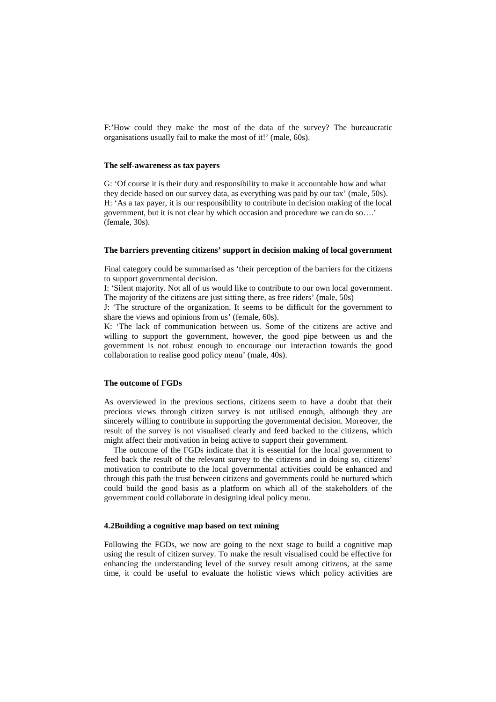F:'How could they make the most of the data of the survey? The bureaucratic organisations usually fail to make the most of it!' (male, 60s).

#### **The self-awareness as tax payers**

G: 'Of course it is their duty and responsibility to make it accountable how and what they decide based on our survey data, as everything was paid by our tax' (male, 50s). H: 'As a tax payer, it is our responsibility to contribute in decision making of the local government, but it is not clear by which occasion and procedure we can do so….' (female, 30s).

## **The barriers preventing citizens' support in decision making of local government**

Final category could be summarised as 'their perception of the barriers for the citizens to support governmental decision.

I: 'Silent majority. Not all of us would like to contribute to our own local government. The majority of the citizens are just sitting there, as free riders' (male, 50s)

J: 'The structure of the organization. It seems to be difficult for the government to share the views and opinions from us' (female, 60s).

K: 'The lack of communication between us. Some of the citizens are active and willing to support the government, however, the good pipe between us and the government is not robust enough to encourage our interaction towards the good collaboration to realise good policy menu' (male, 40s).

### **The outcome of FGDs**

As overviewed in the previous sections, citizens seem to have a doubt that their precious views through citizen survey is not utilised enough, although they are sincerely willing to contribute in supporting the governmental decision. Moreover, the result of the survey is not visualised clearly and feed backed to the citizens, which might affect their motivation in being active to support their government.

The outcome of the FGDs indicate that it is essential for the local government to feed back the result of the relevant survey to the citizens and in doing so, citizens' motivation to contribute to the local governmental activities could be enhanced and through this path the trust between citizens and governments could be nurtured which could build the good basis as a platform on which all of the stakeholders of the government could collaborate in designing ideal policy menu.

## **4.2Building a cognitive map based on text mining**

Following the FGDs, we now are going to the next stage to build a cognitive map using the result of citizen survey. To make the result visualised could be effective for enhancing the understanding level of the survey result among citizens, at the same time, it could be useful to evaluate the holistic views which policy activities are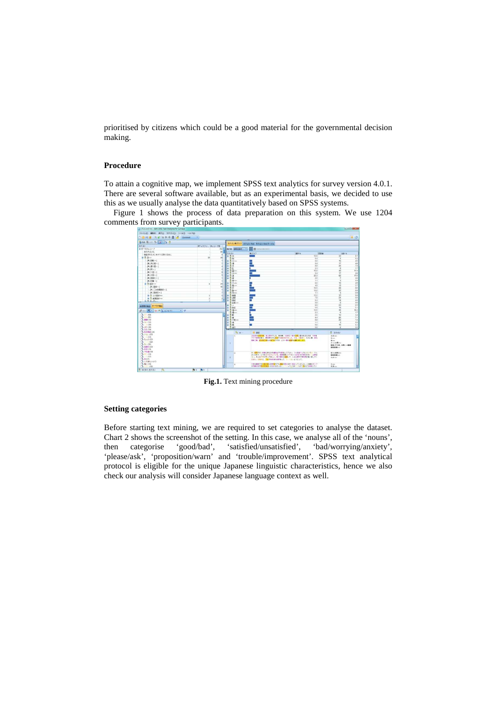prioritised by citizens which could be a good material for the governmental decision making.

## **Procedure**

To attain a cognitive map, we implement SPSS text analytics for survey version 4.0.1. There are several software available, but as an experimental basis, we decided to use this as we usually analyse the data quantitatively based on SPSS systems.

Figure 1 shows the process of data preparation on this system. We use 1204 comments from survey participants.



**Fig.1.** Text mining procedure

# **Setting categories**

Before starting text mining, we are required to set categories to analyse the dataset. Chart 2 shows the screenshot of the setting. In this case, we analyse all of the 'nouns', then categorise 'good/bad', 'satisfied/unsatisfied', 'bad/worrying/anxiety', 'please/ask', 'proposition/warn' and 'trouble/improvement'. SPSS text analytical protocol is eligible for the unique Japanese linguistic characteristics, hence we also check our analysis will consider Japanese language context as well.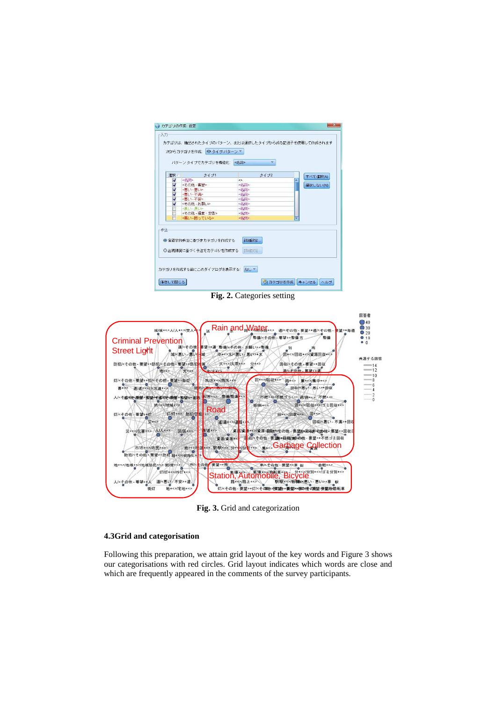|                          | バターンタイプでカテゴリを構造化: 《名詞》                          |              |   |          |
|--------------------------|-------------------------------------------------|--------------|---|----------|
| 選択                       | タイプ1                                            | タイプ2         |   | すべて選択(A) |
| $\blacktriangledown$     | <名詞>                                            | $\leq$       | × |          |
| $\overline{\mathcal{A}}$ | <その他 - 要望>                                      | <名詞>         |   | 選択しない(N) |
| $\checkmark$             | <悪い - 悪い>                                       | <名詞>         |   |          |
| ∛                        | <悪し) - 不満>                                      | <名詞>         |   |          |
| ∛                        | <悪し) - 不安>                                      | <名詞>         |   |          |
| ₩                        | <その他 - お願い>                                     | <名詞>         |   |          |
|                          | <良い - 良い>                                       | <名詞>         |   |          |
| F                        | <その他 - 提案・忠告>                                   | ≪名詞>         |   |          |
| <b>Frit</b>              | <悪い-困っている>                                      | <名詞>         |   |          |
| 手法                       | ◎ 言語学的手法に基づきカテゴリを作成する<br>◎ 出現頻度に基づく手法でカテゴリを作成する | 詳細設定<br>詳細論定 |   |          |

**Fig. 2.** Categories setting



**Fig. 3.** Grid and categorization

# **4.3Grid and categorisation**

Following this preparation, we attain grid layout of the key words and Figure 3 shows our categorisations with red circles. Grid layout indicates which words are close and which are frequently appeared in the comments of the survey participants.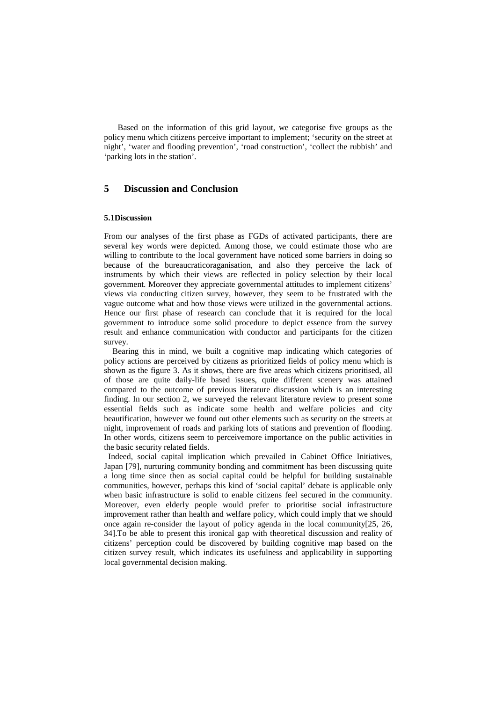Based on the information of this grid layout, we categorise five groups as the policy menu which citizens perceive important to implement; 'security on the street at night', 'water and flooding prevention', 'road construction', 'collect the rubbish' and 'parking lots in the station'.

# **5 Discussion and Conclusion**

#### **5.1Discussion**

From our analyses of the first phase as FGDs of activated participants, there are several key words were depicted. Among those, we could estimate those who are willing to contribute to the local government have noticed some barriers in doing so because of the bureaucraticoraganisation, and also they perceive the lack of instruments by which their views are reflected in policy selection by their local government. Moreover they appreciate governmental attitudes to implement citizens' views via conducting citizen survey, however, they seem to be frustrated with the vague outcome what and how those views were utilized in the governmental actions. Hence our first phase of research can conclude that it is required for the local government to introduce some solid procedure to depict essence from the survey result and enhance communication with conductor and participants for the citizen survey.

 Bearing this in mind, we built a cognitive map indicating which categories of policy actions are perceived by citizens as prioritized fields of policy menu which is shown as the figure 3. As it shows, there are five areas which citizens prioritised, all of those are quite daily-life based issues, quite different scenery was attained compared to the outcome of previous literature discussion which is an interesting finding. In our section 2, we surveyed the relevant literature review to present some essential fields such as indicate some health and welfare policies and city beautification, however we found out other elements such as security on the streets at night, improvement of roads and parking lots of stations and prevention of flooding. In other words, citizens seem to perceivemore importance on the public activities in the basic security related fields.

 Indeed, social capital implication which prevailed in Cabinet Office Initiatives, Japan [79], nurturing community bonding and commitment has been discussing quite a long time since then as social capital could be helpful for building sustainable communities, however, perhaps this kind of 'social capital' debate is applicable only when basic infrastructure is solid to enable citizens feel secured in the community. Moreover, even elderly people would prefer to prioritise social infrastructure improvement rather than health and welfare policy, which could imply that we should once again re-consider the layout of policy agenda in the local community[25, 26, 34].To be able to present this ironical gap with theoretical discussion and reality of citizens' perception could be discovered by building cognitive map based on the citizen survey result, which indicates its usefulness and applicability in supporting local governmental decision making.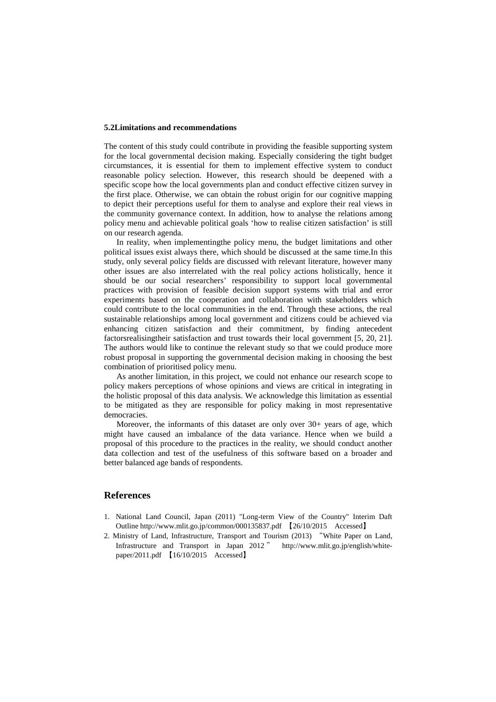### **5.2Limitations and recommendations**

The content of this study could contribute in providing the feasible supporting system for the local governmental decision making. Especially considering the tight budget circumstances, it is essential for them to implement effective system to conduct reasonable policy selection. However, this research should be deepened with a specific scope how the local governments plan and conduct effective citizen survey in the first place. Otherwise, we can obtain the robust origin for our cognitive mapping to depict their perceptions useful for them to analyse and explore their real views in the community governance context. In addition, how to analyse the relations among policy menu and achievable political goals 'how to realise citizen satisfaction' is still on our research agenda.

In reality, when implementingthe policy menu, the budget limitations and other political issues exist always there, which should be discussed at the same time.In this study, only several policy fields are discussed with relevant literature, however many other issues are also interrelated with the real policy actions holistically, hence it should be our social researchers' responsibility to support local governmental practices with provision of feasible decision support systems with trial and error experiments based on the cooperation and collaboration with stakeholders which could contribute to the local communities in the end. Through these actions, the real sustainable relationships among local government and citizens could be achieved via enhancing citizen satisfaction and their commitment, by finding antecedent factorsrealisingtheir satisfaction and trust towards their local government [5, 20, 21]. The authors would like to continue the relevant study so that we could produce more robust proposal in supporting the governmental decision making in choosing the best combination of prioritised policy menu.

As another limitation, in this project, we could not enhance our research scope to policy makers perceptions of whose opinions and views are critical in integrating in the holistic proposal of this data analysis. We acknowledge this limitation as essential to be mitigated as they are responsible for policy making in most representative democracies.

Moreover, the informants of this dataset are only over  $30+$  years of age, which might have caused an imbalance of the data variance. Hence when we build a proposal of this procedure to the practices in the reality, we should conduct another data collection and test of the usefulness of this software based on a broader and better balanced age bands of respondents.

# **References**

- 1. National Land Council, Japan (2011) "Long-term View of the Country" Interim Daft Outline http://www.mlit.go.jp/common/000135837.pdf [26/10/2015 Accessed]
- 2. Ministry of Land, Infrastructure, Transport and Tourism (2013) "White Paper on Land, Infrastructure and Transport in Japan 2012 "http://www.mlit.go.jp/english/whitepaper/2011.pdf  $[16/10/2015$  Accessed]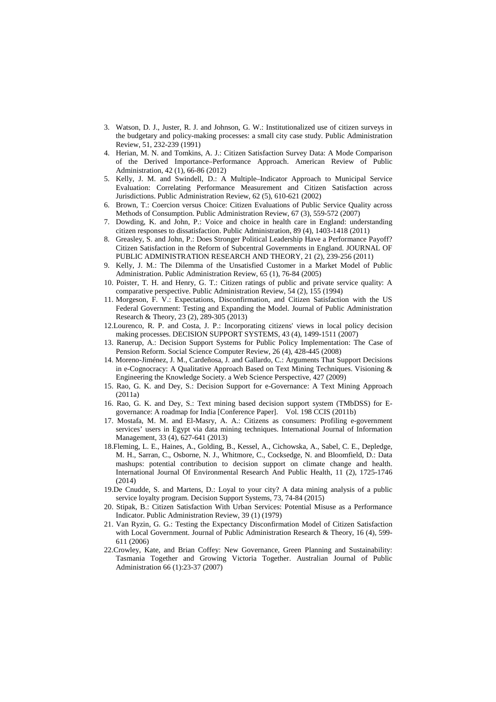- 3. Watson, D. J., Juster, R. J. and Johnson, G. W.: Institutionalized use of citizen surveys in the budgetary and policy-making processes: a small city case study. Public Administration Review, 51, 232-239 (1991)
- 4. Herian, M. N. and Tomkins, A. J.: Citizen Satisfaction Survey Data: A Mode Comparison of the Derived Importance–Performance Approach. American Review of Public Administration, 42 (1), 66-86 (2012)
- 5. Kelly, J. M. and Swindell, D.: A Multiple–Indicator Approach to Municipal Service Evaluation: Correlating Performance Measurement and Citizen Satisfaction across Jurisdictions. Public Administration Review, 62 (5), 610-621 (2002)
- 6. Brown, T.: Coercion versus Choice: Citizen Evaluations of Public Service Quality across Methods of Consumption. Public Administration Review, 67 (3), 559-572 (2007)
- 7. Dowding, K. and John, P.: Voice and choice in health care in England: understanding citizen responses to dissatisfaction. Public Administration, 89 (4), 1403-1418 (2011)
- 8. Greasley, S. and John, P.: Does Stronger Political Leadership Have a Performance Payoff? Citizen Satisfaction in the Reform of Subcentral Governments in England. JOURNAL OF PUBLIC ADMINISTRATION RESEARCH AND THEORY, 21 (2), 239-256 (2011)
- 9. Kelly, J. M.: The Dilemma of the Unsatisfied Customer in a Market Model of Public Administration. Public Administration Review, 65 (1), 76-84 (2005)
- 10. Poister, T. H. and Henry, G. T.: Citizen ratings of public and private service quality: A comparative perspective. Public Administration Review, 54 (2), 155 (1994)
- 11. Morgeson, F. V.: Expectations, Disconfirmation, and Citizen Satisfaction with the US Federal Government: Testing and Expanding the Model. Journal of Public Administration Research & Theory, 23 (2), 289-305 (2013)
- 12.Lourenco, R. P. and Costa, J. P.: Incorporating citizens' views in local policy decision making processes. DECISION SUPPORT SYSTEMS, 43 (4), 1499-1511 (2007)
- 13. Ranerup, A.: Decision Support Systems for Public Policy Implementation: The Case of Pension Reform. Social Science Computer Review, 26 (4), 428-445 (2008)
- 14. Moreno-Jiménez, J. M., Cardeñosa, J. and Gallardo, C.: Arguments That Support Decisions in e-Cognocracy: A Qualitative Approach Based on Text Mining Techniques. Visioning & Engineering the Knowledge Society. a Web Science Perspective, 427 (2009)
- 15. Rao, G. K. and Dey, S.: Decision Support for e-Governance: A Text Mining Approach (2011a)
- 16. Rao, G. K. and Dey, S.: Text mining based decision support system (TMbDSS) for Egovernance: A roadmap for India [Conference Paper]. Vol. 198 CCIS (2011b)
- 17. Mostafa, M. M. and El-Masry, A. A.: Citizens as consumers: Profiling e-government services' users in Egypt via data mining techniques. International Journal of Information Management, 33 (4), 627-641 (2013)
- 18.Fleming, L. E., Haines, A., Golding, B., Kessel, A., Cichowska, A., Sabel, C. E., Depledge, M. H., Sarran, C., Osborne, N. J., Whitmore, C., Cocksedge, N. and Bloomfield, D.: Data mashups: potential contribution to decision support on climate change and health. International Journal Of Environmental Research And Public Health, 11 (2), 1725-1746 (2014)
- 19.De Cnudde, S. and Martens, D.: Loyal to your city? A data mining analysis of a public service loyalty program. Decision Support Systems, 73, 74-84 (2015)
- 20. Stipak, B.: Citizen Satisfaction With Urban Services: Potential Misuse as a Performance Indicator. Public Administration Review, 39 (1) (1979)
- 21. Van Ryzin, G. G.: Testing the Expectancy Disconfirmation Model of Citizen Satisfaction with Local Government. Journal of Public Administration Research & Theory, 16 (4), 599- 611 (2006)
- 22.Crowley, Kate, and Brian Coffey: New Governance, Green Planning and Sustainability: Tasmania Together and Growing Victoria Together. Australian Journal of Public Administration 66 (1):23-37 (2007)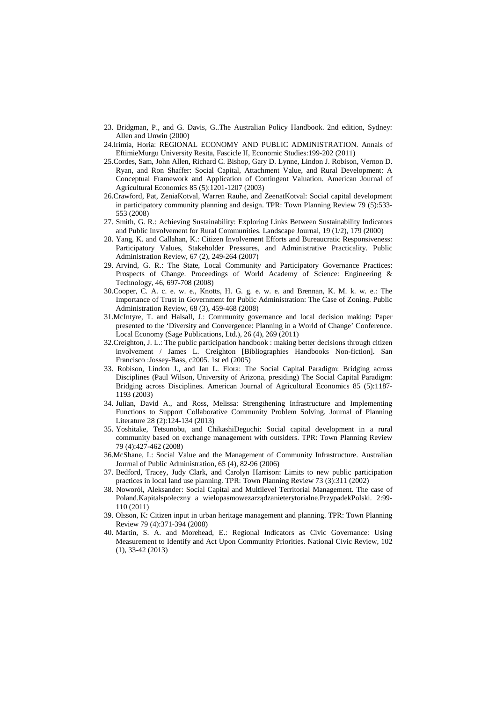- 23. Bridgman, P., and G. Davis, G..The Australian Policy Handbook. 2nd edition, Sydney: Allen and Unwin (2000)
- 24.Irimia, Horia: REGIONAL ECONOMY AND PUBLIC ADMINISTRATION. Annals of EftimieMurgu University Resita, Fascicle II, Economic Studies:199-202 (2011)
- 25.Cordes, Sam, John Allen, Richard C. Bishop, Gary D. Lynne, Lindon J. Robison, Vernon D. Ryan, and Ron Shaffer: Social Capital, Attachment Value, and Rural Development: A Conceptual Framework and Application of Contingent Valuation. American Journal of Agricultural Economics 85 (5):1201-1207 (2003)
- 26.Crawford, Pat, ZeniaKotval, Warren Rauhe, and ZeenatKotval: Social capital development in participatory community planning and design. TPR: Town Planning Review 79 (5):533- 553 (2008)
- 27. Smith, G. R.: Achieving Sustainability: Exploring Links Between Sustainability Indicators and Public Involvement for Rural Communities. Landscape Journal, 19 (1/2), 179 (2000)
- 28. Yang, K. and Callahan, K.: Citizen Involvement Efforts and Bureaucratic Responsiveness: Participatory Values, Stakeholder Pressures, and Administrative Practicality. Public Administration Review, 67 (2), 249-264 (2007)
- 29. Arvind, G. R.: The State, Local Community and Participatory Governance Practices: Prospects of Change. Proceedings of World Academy of Science: Engineering & Technology, 46, 697-708 (2008)
- 30.Cooper, C. A. c. e. w. e., Knotts, H. G. g. e. w. e. and Brennan, K. M. k. w. e.: The Importance of Trust in Government for Public Administration: The Case of Zoning. Public Administration Review, 68 (3), 459-468 (2008)
- 31.McIntyre, T. and Halsall, J.: Community governance and local decision making: Paper presented to the 'Diversity and Convergence: Planning in a World of Change' Conference. Local Economy (Sage Publications, Ltd.), 26 (4), 269 (2011)
- 32.Creighton, J. L.: The public participation handbook : making better decisions through citizen involvement / James L. Creighton [Bibliographies Handbooks Non-fiction]. San Francisco :Jossey-Bass, c2005. 1st ed (2005)
- 33. Robison, Lindon J., and Jan L. Flora: The Social Capital Paradigm: Bridging across Disciplines (Paul Wilson, University of Arizona, presiding) The Social Capital Paradigm: Bridging across Disciplines. American Journal of Agricultural Economics 85 (5):1187- 1193 (2003)
- 34. Julian, David A., and Ross, Melissa: Strengthening Infrastructure and Implementing Functions to Support Collaborative Community Problem Solving. Journal of Planning Literature 28 (2):124-134 (2013)
- 35. Yoshitake, Tetsunobu, and ChikashiDeguchi: Social capital development in a rural community based on exchange management with outsiders. TPR: Town Planning Review 79 (4):427-462 (2008)
- 36.McShane, I.: Social Value and the Management of Community Infrastructure. Australian Journal of Public Administration, 65 (4), 82-96 (2006)
- 37. Bedford, Tracey, Judy Clark, and Carolyn Harrison: Limits to new public participation practices in local land use planning. TPR: Town Planning Review 73 (3):311 (2002)
- 38. Noworól, Aleksander: Social Capital and Multilevel Territorial Management. The case of Poland.Kapitałspołeczny a wielopasmowezarządzanieterytorialne.PrzypadekPolski. 2:99- 110 (2011)
- 39. Olsson, K: Citizen input in urban heritage management and planning. TPR: Town Planning Review 79 (4):371-394 (2008)
- 40. Martin, S. A. and Morehead, E.: Regional Indicators as Civic Governance: Using Measurement to Identify and Act Upon Community Priorities. National Civic Review, 102 (1), 33-42 (2013)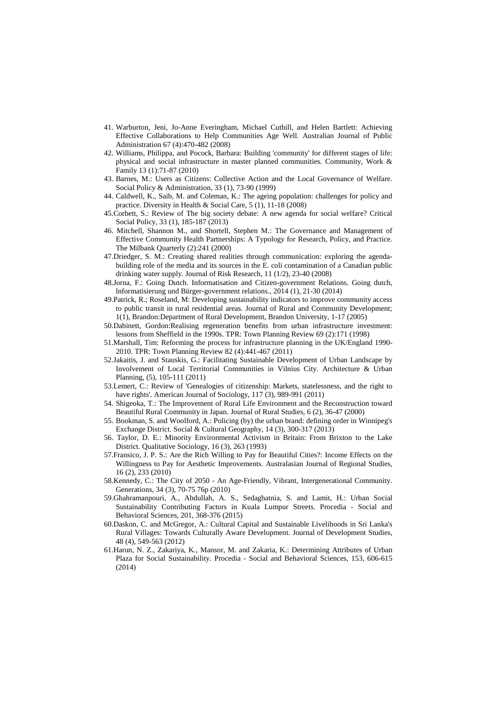- 41. Warburton, Jeni, Jo-Anne Everingham, Michael Cuthill, and Helen Bartlett: Achieving Effective Collaborations to Help Communities Age Well. Australian Journal of Public Administration 67 (4):470-482 (2008)
- 42. Williams, Philippa, and Pocock, Barbara: Building 'community' for different stages of life: physical and social infrastructure in master planned communities. Community, Work & Family 13 (1):71-87 (2010)
- 43. Barnes, M.: Users as Citizens: Collective Action and the Local Governance of Welfare. Social Policy & Administration, 33 (1), 73-90 (1999)
- 44. Caldwell, K., Saib, M. and Coleman, K.: The ageing population: challenges for policy and practice. Diversity in Health & Social Care, 5 (1), 11-18 (2008)
- 45.Corbett, S.: Review of The big society debate: A new agenda for social welfare? Critical Social Policy, 33 (1), 185-187 (2013)
- 46. Mitchell, Shannon M., and Shortell, Stephen M.: The Governance and Management of Effective Community Health Partnerships: A Typology for Research, Policy, and Practice. The Milbank Quarterly (2):241 (2000)
- 47.Driedger, S. M.: Creating shared realities through communication: exploring the agendabuilding role of the media and its sources in the E. coli contamination of a Canadian public drinking water supply. Journal of Risk Research, 11 (1/2), 23-40 (2008)
- 48.Jorna, F.: Going Dutch. Informatisation and Citizen-government Relations. Going dutch, lnformatisierung und Bürger-government relations., 2014 (1), 21-30 (2014)
- 49.Patrick, R.; Roseland, M: Developing sustainability indicators to improve community access to public transit in rural residential areas. Journal of Rural and Community Development; 1(1), Brandon:Department of Rural Development, Brandon University, 1-17 (2005)
- 50.Dabinett, Gordon:Realising regeneration benefits from urban infrastructure investment: lessons from Sheffield in the 1990s. TPR: Town Planning Review 69 (2):171 (1998)
- 51.Marshall, Tim: Reforming the process for infrastructure planning in the UK/England 1990- 2010. TPR: Town Planning Review 82 (4):441-467 (2011)
- 52.Jakaitis, J. and Stauskis, G.: Facilitating Sustainable Development of Urban Landscape by Involvement of Local Territorial Communities in Vilnius City. Architecture & Urban Planning, (5), 105-111 (2011)
- 53.Lemert, C.: Review of 'Genealogies of citizenship: Markets, statelessness, and the right to have rights'. American Journal of Sociology, 117 (3), 989-991 (2011)
- 54. Shigeoka, T.: The Improvement of Rural Life Environment and the Reconstruction toward Beautiful Rural Community in Japan. Journal of Rural Studies, 6 (2), 36-47 (2000)
- 55. Bookman, S. and Woolford, A.: Policing (by) the urban brand: defining order in Winnipeg's Exchange District. Social & Cultural Geography, 14 (3), 300-317 (2013)
- 56. Taylor, D. E.: Minority Environmental Activism in Britain: From Brixton to the Lake District. Qualitative Sociology, 16 (3), 263 (1993)
- 57.Fransico, J. P. S.: Are the Rich Willing to Pay for Beautiful Cities?: Income Effects on the Willingness to Pay for Aesthetic Improvements. Australasian Journal of Regional Studies, 16 (2), 233 (2010)
- 58.Kennedy, C.: The City of 2050 An Age-Friendly, Vibrant, Intergenerational Community. Generations, 34 (3), 70-75 76p (2010)
- 59.Ghahramanpouri, A., Abdullah, A. S., Sedaghatnia, S. and Lamit, H.: Urban Social Sustainability Contributing Factors in Kuala Lumpur Streets. Procedia - Social and Behavioral Sciences, 201, 368-376 (2015)
- 60.Daskon, C. and McGregor, A.: Cultural Capital and Sustainable Livelihoods in Sri Lanka's Rural Villages: Towards Culturally Aware Development. Journal of Development Studies, 48 (4), 549-563 (2012)
- 61.Harun, N. Z., Zakariya, K., Mansor, M. and Zakaria, K.: Determining Attributes of Urban Plaza for Social Sustainability. Procedia - Social and Behavioral Sciences, 153, 606-615 (2014)